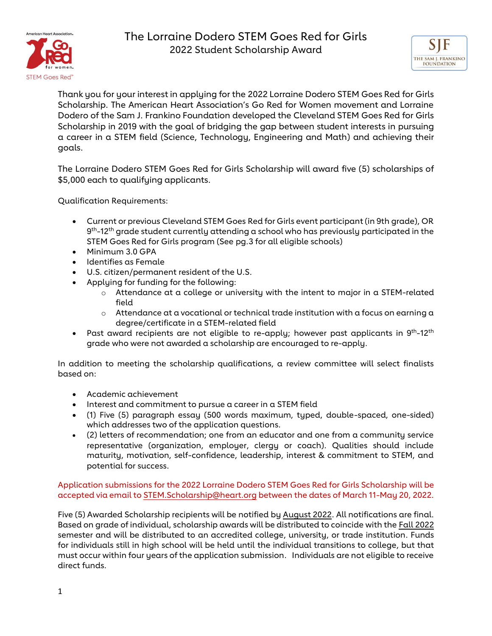



Thank you for your interest in applying for the 2022 Lorraine Dodero STEM Goes Red for Girls Scholarship. The American Heart Association's Go Red for Women movement and Lorraine Dodero of the Sam J. Frankino Foundation developed the Cleveland STEM Goes Red for Girls Scholarship in 2019 with the goal of bridging the gap between student interests in pursuing a career in a STEM field (Science, Technology, Engineering and Math) and achieving their goals.

The Lorraine Dodero STEM Goes Red for Girls Scholarship will award five (5) scholarships of \$5,000 each to qualifying applicants.

Qualification Requirements:

- Current or previous Cleveland STEM Goes Red for Girls event participant (in 9th grade), OR 9<sup>th</sup>-12<sup>th</sup> grade student currently attending a school who has previously participated in the STEM Goes Red for Girls program (See pg.3 for all eligible schools)
- Minimum 3.0 GPA
- Identifies as Female
- U.S. citizen/permanent resident of the U.S.
- Applying for funding for the following:
	- o Attendance at a college or university with the intent to major in a STEM-related field
	- $\circ$  Attendance at a vocational or technical trade institution with a focus on earning a degree/certificate in a STEM-related field
- Past award recipients are not eligible to re-apply; however past applicants in  $9^{th}$ -12<sup>th</sup> grade who were not awarded a scholarship are encouraged to re-apply.

In addition to meeting the scholarship qualifications, a review committee will select finalists based on:

- Academic achievement
- Interest and commitment to pursue a career in a STEM field
- (1) Five (5) paragraph essay (500 words maximum, typed, double-spaced, one-sided) which addresses two of the application questions.
- (2) letters of recommendation; one from an educator and one from a community service representative (organization, employer, clergy or coach). Qualities should include maturity, motivation, self-confidence, leadership, interest & commitment to STEM, and potential for success.

Application submissions for the 2022 Lorraine Dodero STEM Goes Red for Girls Scholarship will be accepted via email t[o STEM.Scholarship@heart.org](mailto:STEM.Scholarship@heart.org) between the dates of March 11-May 20, 2022.

Five (5) Awarded Scholarship recipients will be notified by August 2022. All notifications are final. Based on grade of individual, scholarship awards will be distributed to coincide with the Fall 2022 semester and will be distributed to an accredited college, university, or trade institution. Funds for individuals still in high school will be held until the individual transitions to college, but that must occur within four years of the application submission. Individuals are not eligible to receive direct funds.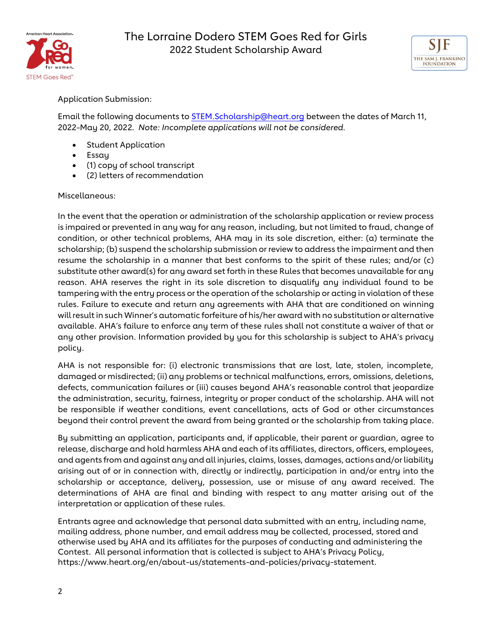



Application Submission:

Email the following documents to [STEM.Scholarship@heart.org](mailto:STEM.Scholarship@heart.org) between the dates of March 11, 2022-May 20, 2022*. Note: Incomplete applications will not be considered.*

- Student Application
- Essay
- (1) copy of school transcript
- (2) letters of recommendation

## Miscellaneous:

In the event that the operation or administration of the scholarship application or review process is impaired or prevented in any way for any reason, including, but not limited to fraud, change of condition, or other technical problems, AHA may in its sole discretion, either: (a) terminate the scholarship; (b) suspend the scholarship submission or review to address the impairment and then resume the scholarship in a manner that best conforms to the spirit of these rules; and/or (c) substitute other award(s) for any award set forth in these Rules that becomes unavailable for any reason. AHA reserves the right in its sole discretion to disqualify any individual found to be tampering with the entry process or the operation of the scholarship or acting in violation of these rules. Failure to execute and return any agreements with AHA that are conditioned on winning will result in such Winner's automatic forfeiture of his/her award with no substitution or alternative available. AHA's failure to enforce any term of these rules shall not constitute a waiver of that or any other provision. Information provided by you for this scholarship is subject to AHA's privacy policy.

AHA is not responsible for: (i) electronic transmissions that are lost, late, stolen, incomplete, damaged or misdirected; (ii) any problems or technical malfunctions, errors, omissions, deletions, defects, communication failures or (iii) causes beyond AHA's reasonable control that jeopardize the administration, security, fairness, integrity or proper conduct of the scholarship. AHA will not be responsible if weather conditions, event cancellations, acts of God or other circumstances beyond their control prevent the award from being granted or the scholarship from taking place.

By submitting an application, participants and, if applicable, their parent or guardian, agree to release, discharge and hold harmless AHA and each of its affiliates, directors, officers, employees, and agents from and against any and all injuries, claims, losses, damages, actions and/or liability arising out of or in connection with, directly or indirectly, participation in and/or entry into the scholarship or acceptance, delivery, possession, use or misuse of any award received. The determinations of AHA are final and binding with respect to any matter arising out of the interpretation or application of these rules.

Entrants agree and acknowledge that personal data submitted with an entry, including name, mailing address, phone number, and email address may be collected, processed, stored and otherwise used by AHA and its affiliates for the purposes of conducting and administering the Contest. All personal information that is collected is subject to AHA's Privacy Policy, [https://www.heart.org/en/about-us/statements-and-policies/privacy-statement.](https://www.heart.org/en/about-us/statements-and-policies/privacy-statement)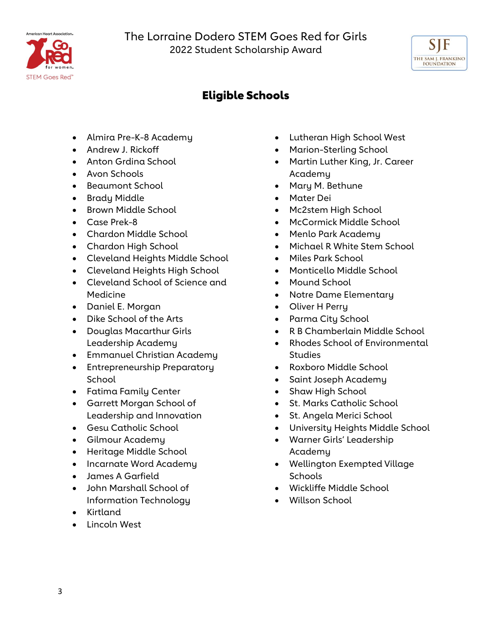



## Eligible Schools

- Almira Pre-K-8 Academy
- Andrew J. Rickoff
- Anton Grdina School
- Avon Schools
- Beaumont School
- Brady Middle
- Brown Middle School
- Case Prek-8
- Chardon Middle School
- Chardon High School
- Cleveland Heights Middle School
- Cleveland Heights High School
- Cleveland School of Science and Medicine
- Daniel E. Morgan
- Dike School of the Arts
- Douglas Macarthur Girls Leadership Academy
- Emmanuel Christian Academy
- Entrepreneurship Preparatory **School**
- Fatima Family Center
- Garrett Morgan School of Leadership and Innovation
- Gesu Catholic School
- Gilmour Academy
- Heritage Middle School
- Incarnate Word Academy
- James A Garfield
- John Marshall School of Information Technology
- Kirtland
- Lincoln West
- Lutheran High School West
- Marion-Sterling School
- Martin Luther King, Jr. Career Academy
- Mary M. Bethune
- Mater Dei
- Mc2stem High School
- McCormick Middle School
- Menlo Park Academy
- Michael R White Stem School
- Miles Park School
- Monticello Middle School
- Mound School
- Notre Dame Elementary
- Oliver H Perry
- Parma City School
- R B Chamberlain Middle School
- Rhodes School of Environmental Studies
- Roxboro Middle School
- Saint Joseph Academy
- Shaw High School
- St. Marks Catholic School
- St. Angela Merici School
- University Heights Middle School
- Warner Girls' Leadership Academy
- Wellington Exempted Village **Schools**
- Wickliffe Middle School
- Willson School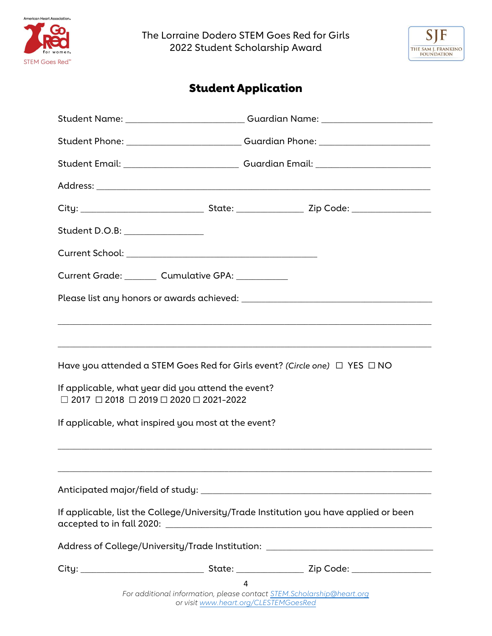



## Student Application

|                                                                                                                                  |  | Student Name: _________________________________Guardian Name: __________________ |
|----------------------------------------------------------------------------------------------------------------------------------|--|----------------------------------------------------------------------------------|
|                                                                                                                                  |  | Student Phone: ________________________________Guardian Phone: _________________ |
|                                                                                                                                  |  |                                                                                  |
|                                                                                                                                  |  |                                                                                  |
|                                                                                                                                  |  |                                                                                  |
| Student D.O.B: ________________                                                                                                  |  |                                                                                  |
|                                                                                                                                  |  |                                                                                  |
| Current Grade: Cumulative GPA: Current Crade:                                                                                    |  |                                                                                  |
|                                                                                                                                  |  |                                                                                  |
|                                                                                                                                  |  |                                                                                  |
|                                                                                                                                  |  |                                                                                  |
| Have you attended a STEM Goes Red for Girls event? (Circle one) $\Box$ YES $\Box$ NO                                             |  |                                                                                  |
| If applicable, what year did you attend the event?<br>$\Box$ 2017 $\Box$ 2018 $\Box$ 2019 $\Box$ 2020 $\Box$ 2021-2022           |  |                                                                                  |
| If applicable, what inspired you most at the event?                                                                              |  |                                                                                  |
|                                                                                                                                  |  |                                                                                  |
|                                                                                                                                  |  |                                                                                  |
|                                                                                                                                  |  |                                                                                  |
| If applicable, list the College/University/Trade Institution you have applied or been                                            |  |                                                                                  |
| Address of College/University/Trade Institution: _______________________________                                                 |  |                                                                                  |
|                                                                                                                                  |  |                                                                                  |
| $\overline{4}$<br>For additional information, please contact STEM.Scholarship@heart.org<br>or visit www.heart.org/CLESTEMGoesRed |  |                                                                                  |